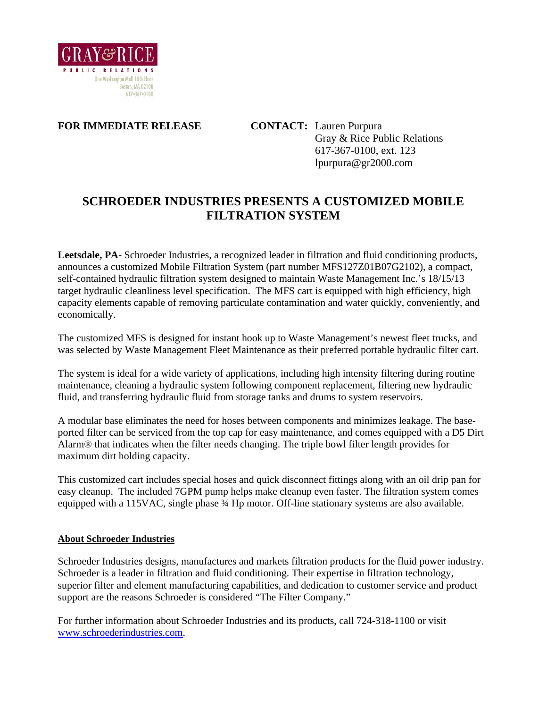

## **FOR IMMEDIATE RELEASE CONTACT:** Lauren Purpura

 Gray & Rice Public Relations 617-367-0100, ext. 123 lpurpura@gr2000.com

## **SCHROEDER INDUSTRIES PRESENTS A CUSTOMIZED MOBILE FILTRATION SYSTEM**

**Leetsdale, PA**- Schroeder Industries, a recognized leader in filtration and fluid conditioning products, announces a customized Mobile Filtration System (part number MFS127Z01B07G2102), a compact, self-contained hydraulic filtration system designed to maintain Waste Management Inc.'s 18/15/13 target hydraulic cleanliness level specification. The MFS cart is equipped with high efficiency, high capacity elements capable of removing particulate contamination and water quickly, conveniently, and economically.

The customized MFS is designed for instant hook up to Waste Management's newest fleet trucks, and was selected by Waste Management Fleet Maintenance as their preferred portable hydraulic filter cart.

The system is ideal for a wide variety of applications, including high intensity filtering during routine maintenance, cleaning a hydraulic system following component replacement, filtering new hydraulic fluid, and transferring hydraulic fluid from storage tanks and drums to system reservoirs.

A modular base eliminates the need for hoses between components and minimizes leakage. The baseported filter can be serviced from the top cap for easy maintenance, and comes equipped with a D5 Dirt Alarm® that indicates when the filter needs changing. The triple bowl filter length provides for maximum dirt holding capacity.

This customized cart includes special hoses and quick disconnect fittings along with an oil drip pan for easy cleanup. The included 7GPM pump helps make cleanup even faster. The filtration system comes equipped with a 115VAC, single phase  $\frac{3}{4}$  Hp motor. Off-line stationary systems are also available.

## **About Schroeder Industries**

Schroeder Industries designs, manufactures and markets filtration products for the fluid power industry. Schroeder is a leader in filtration and fluid conditioning. Their expertise in filtration technology, superior filter and element manufacturing capabilities, and dedication to customer service and product support are the reasons Schroeder is considered "The Filter Company."

For further information about Schroeder Industries and its products, call 724-318-1100 or visit [www.schroederindustries.com.](http://www.schroederindustries.com/)